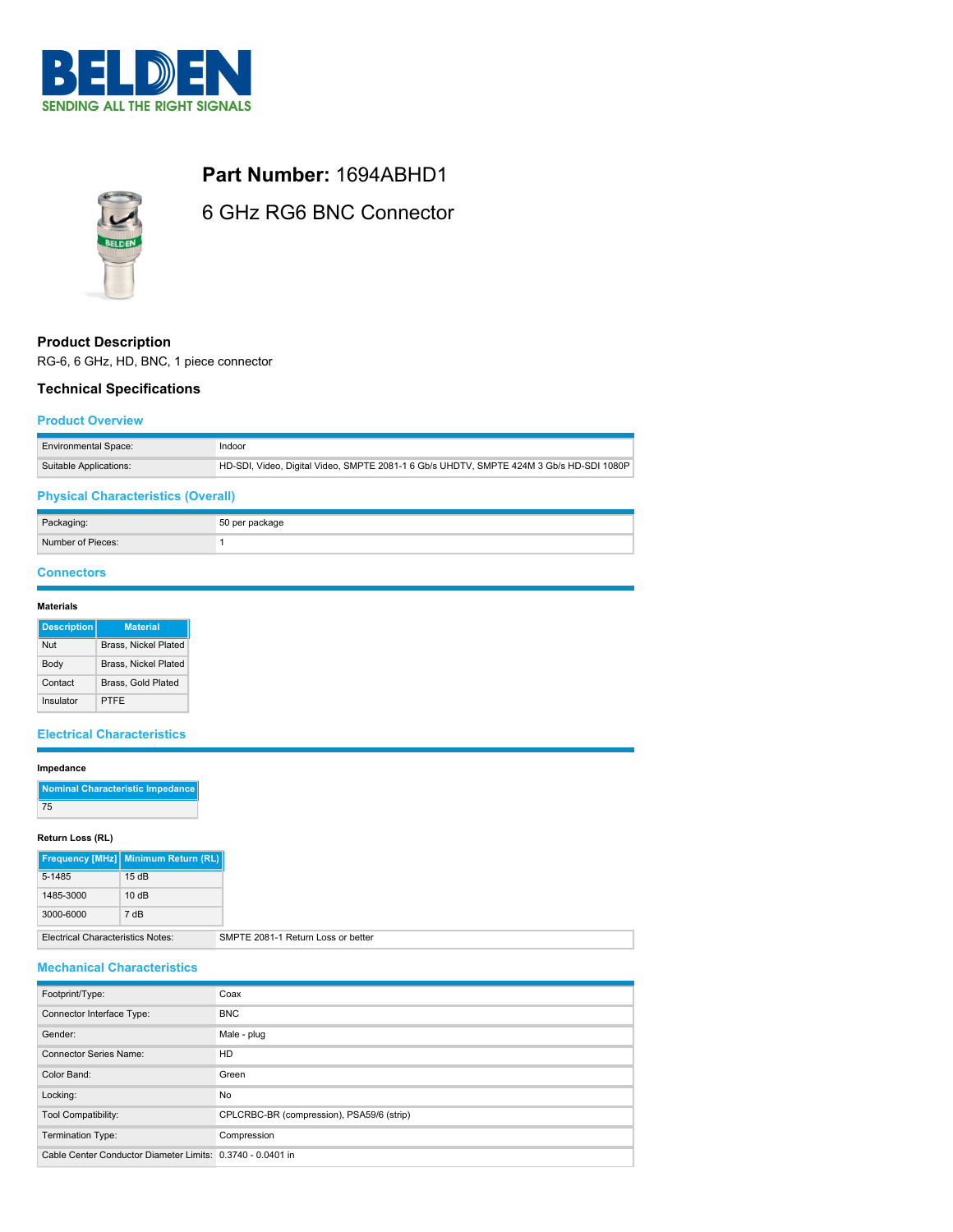



**Part Number:** 1694ABHD1

6 GHz RG6 BNC Connector

# **Product Description**

RG-6, 6 GHz, HD, BNC, 1 piece connector

# **Technical Specifications**

### **Product Overview**

| Environmental Space:   | Indoor                                                                                  |
|------------------------|-----------------------------------------------------------------------------------------|
| Suitable Applications: | HD-SDI, Video, Digital Video, SMPTE 2081-1 6 Gb/s UHDTV, SMPTE 424M 3 Gb/s HD-SDI 1080P |

# **Physical Characteristics (Overall)**

| Packaging:        | 50 per package |
|-------------------|----------------|
| Number of Pieces: |                |

## **Connectors**

| <b>Materials</b> |
|------------------|
|------------------|

| <b>Description</b> | <b>Material</b>      |
|--------------------|----------------------|
| Nut                | Brass, Nickel Plated |
| Body               | Brass, Nickel Plated |
| Contact            | Brass, Gold Plated   |
| Insulator          | PTFF                 |

### **Electrical Characteristics**

#### **Impedance**

| Nominal Characteristic Impedance |
|----------------------------------|
| 75                               |

### **Return Loss (RL)**

|                                          | Frequency [MHz] Minimum Return (RL) |
|------------------------------------------|-------------------------------------|
| 5-1485                                   | 15dB                                |
| 1485-3000                                | 10dB                                |
| 3000-6000                                | 7 dB                                |
| <b>Electrical Characteristics Notes:</b> | SMPTE 2081-1 Return Loss or better  |

# **Mechanical Characteristics**

| Footprint/Type:                                            | Coax                                      |
|------------------------------------------------------------|-------------------------------------------|
| Connector Interface Type:                                  | <b>BNC</b>                                |
| Gender:                                                    | Male - plug                               |
| <b>Connector Series Name:</b>                              | <b>HD</b>                                 |
| Color Band:                                                | Green                                     |
| Locking:                                                   | No                                        |
| Tool Compatibility:                                        | CPLCRBC-BR (compression), PSA59/6 (strip) |
| Termination Type:                                          | Compression                               |
| Cable Center Conductor Diameter Limits: 0.3740 - 0.0401 in |                                           |